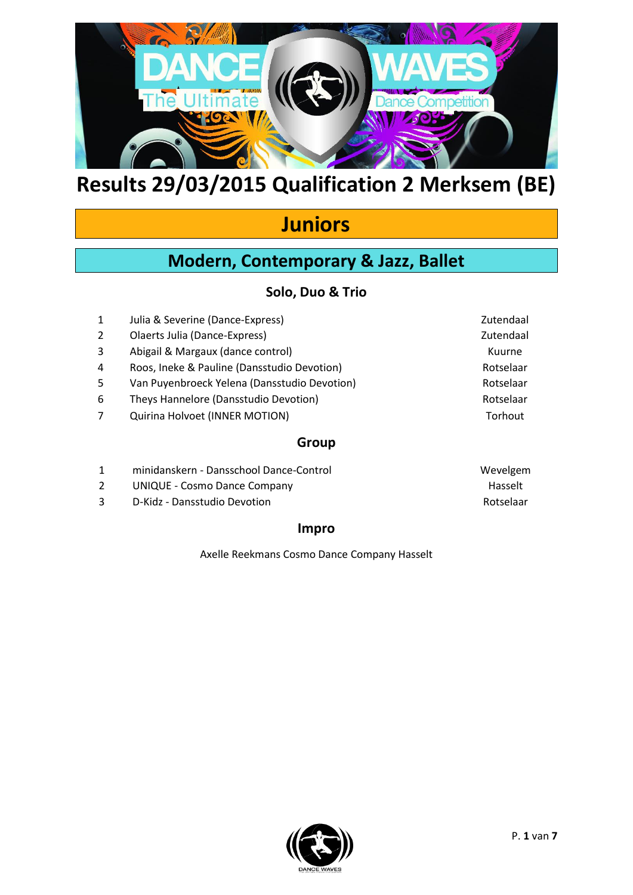

## **Juniors**

## **Modern, Contemporary & Jazz, Ballet**

### **Solo, Duo & Trio**

| 1 | Julia & Severine (Dance-Express)             | Zutendaal |
|---|----------------------------------------------|-----------|
| 2 | Olaerts Julia (Dance-Express)                | Zutendaal |
| 3 | Abigail & Margaux (dance control)            | Kuurne    |
| 4 | Roos, Ineke & Pauline (Dansstudio Devotion)  | Rotselaar |
| 5 | Van Puyenbroeck Yelena (Dansstudio Devotion) | Rotselaar |
| 6 | Theys Hannelore (Dansstudio Devotion)        | Rotselaar |
| 7 | Quirina Holvoet (INNER MOTION)               | Torhout   |
|   | Group                                        |           |

| minidanskern - Dansschool Dance-Control | Wevelgem  |
|-----------------------------------------|-----------|
| <b>UNIQUE - Cosmo Dance Company</b>     | Hasselt   |
| D-Kidz - Dansstudio Devotion            | Rotselaar |

### **Impro**

Axelle Reekmans Cosmo Dance Company Hasselt

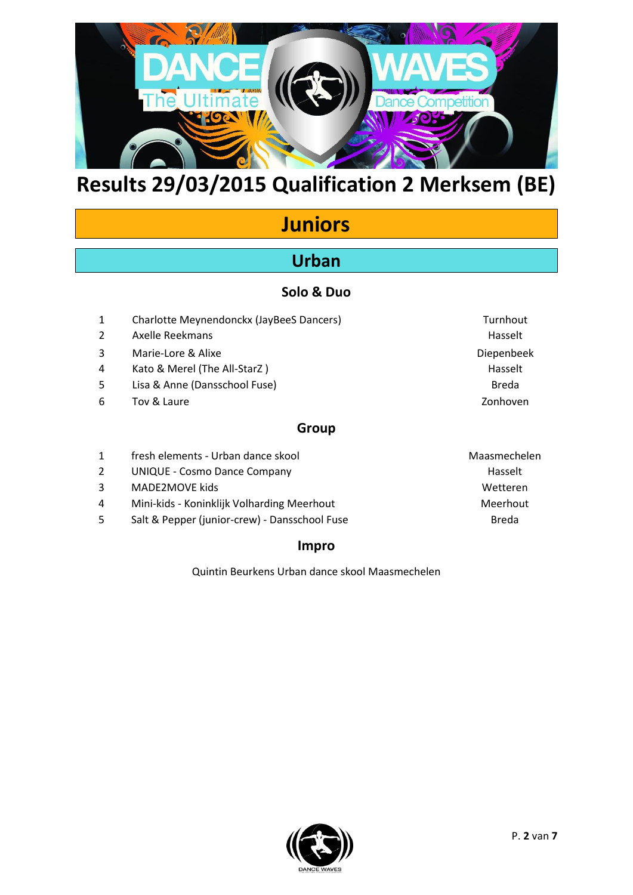

# **Juniors**

## **Urban**

### **Solo & Duo**

| 1     | Charlotte Meynendonckx (JayBeeS Dancers) | Turnhout   |
|-------|------------------------------------------|------------|
| 2     | <b>Axelle Reekmans</b>                   | Hasselt    |
| 3     | Marie-Lore & Alixe                       | Diepenbeek |
| 4     | Kato & Merel (The All-StarZ)             | Hasselt    |
| 5     | Lisa & Anne (Dansschool Fuse)            | Breda      |
| 6     | Tov & Laure                              | Zonhoven   |
| Group |                                          |            |

|   | fresh elements - Urban dance skool            | Maasmechelen |
|---|-----------------------------------------------|--------------|
| 2 | UNIQUE - Cosmo Dance Company                  | Hasselt      |
| 3 | MADE2MOVE kids                                | Wetteren     |
| 4 | Mini-kids - Koninklijk Volharding Meerhout    | Meerhout     |
| 5 | Salt & Pepper (junior-crew) - Dansschool Fuse | Breda        |

### **Impro**

Quintin Beurkens Urban dance skool Maasmechelen

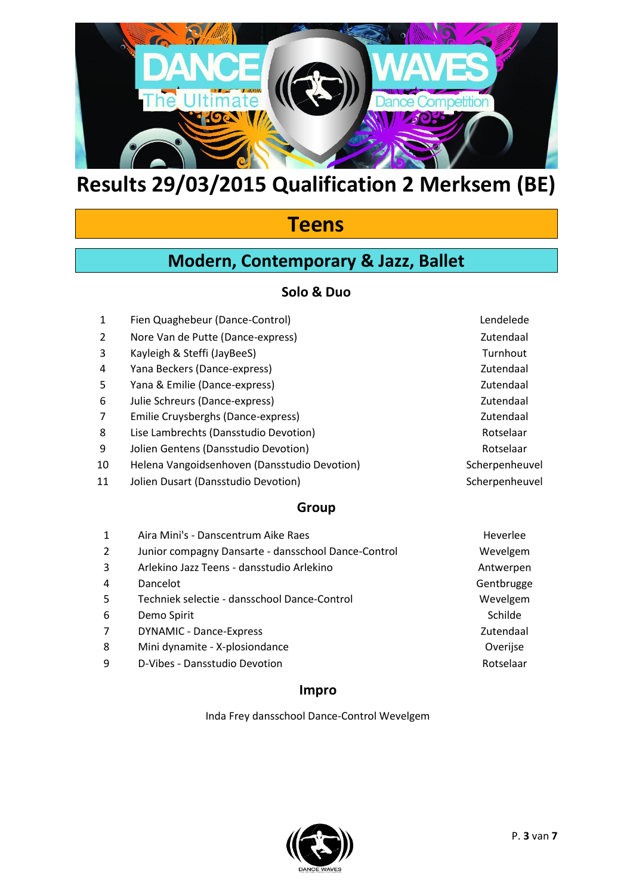

## **Teens**

## **Modern, Contemporary & Jazz, Ballet**

### **Solo & Duo**

1 Fien Quaghebeur (Dance-Control) Lendelede 2 Nore Van de Putte (Dance-express) and a series of the Catalogue of Zutendaal 3 Kayleigh & Steffi (JayBeeS) Superintendent Controller and Turnhout 4 Yana Beckers (Dance-express) Zutendaal 5 Yana & Emilie (Dance-express) **Security** 2016 12:30 Yana & Emilie (Dance-express) 6 Julie Schreurs (Dance-express) Zutendaal 7 Emilie Cruysberghs (Dance-express) and the control of the Crustendaal 8 Lise Lambrechts (Dansstudio Devotion) and a metal control of the Rotselaar 9 Jolien Gentens (Dansstudio Devotion) and a member of the Rotselaar 10 Helena Vangoidsenhoven (Dansstudio Devotion) Scherpenheuvel 11 Jolien Dusart (Dansstudio Devotion) Scherpenheuvel **Group** 1 Aira Mini's - Danscentrum Aike Raes **Here** Heverlee 2 Junior compagny Dansarte - dansschool Dance-Control Wevelgem 3 Arlekino Jazz Teens - dansstudio Arlekino Antwerpen 4 Dancelot **Gentbrugge** 5 Techniek selectie - dansschool Dance-Control Wevelgem 6 Demo Spirit Schilde and Schilde and Schilde and Schilde and Schilde and Schilde 7 DYNAMIC - Dance-Express Zutendaal 8 Mini dynamite - X-plosiondance **Overige Containers** Overijse 9 D-Vibes - Dansstudio Devotion Rotselaar Rotselaar

### **Impro**

Inda Frey dansschool Dance-Control Wevelgem

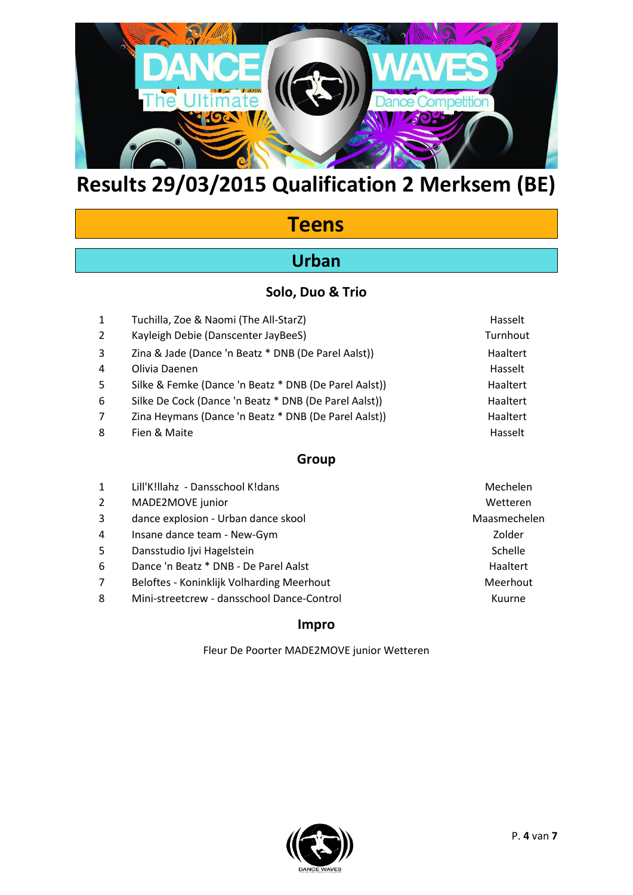

## **Teens**

## **Urban**

### **Solo, Duo & Trio**

| $\mathbf{1}$ | Tuchilla, Zoe & Naomi (The All-StarZ)                 | Hasselt  |
|--------------|-------------------------------------------------------|----------|
| 2            | Kayleigh Debie (Danscenter JayBeeS)                   | Turnhout |
| 3            | Zina & Jade (Dance 'n Beatz * DNB (De Parel Aalst))   | Haaltert |
| 4            | Olivia Daenen                                         | Hasselt  |
| 5            | Silke & Femke (Dance 'n Beatz * DNB (De Parel Aalst)) | Haaltert |
| 6            | Silke De Cock (Dance 'n Beatz * DNB (De Parel Aalst)) | Haaltert |
| 7            | Zina Heymans (Dance 'n Beatz * DNB (De Parel Aalst))  | Haaltert |
| 8            | Fien & Maite                                          | Hasselt  |
|              |                                                       |          |

### **Group**

| $\mathbf{1}$ | Lill'K!llahz - Dansschool K!dans           | Mechelen     |
|--------------|--------------------------------------------|--------------|
| 2            | MADE2MOVE junior                           | Wetteren     |
| 3            | dance explosion - Urban dance skool        | Maasmechelen |
| 4            | Insane dance team - New-Gym                | Zolder       |
| 5            | Dansstudio Ijvi Hagelstein                 | Schelle      |
| 6            | Dance 'n Beatz * DNB - De Parel Aalst      | Haaltert     |
| 7            | Beloftes - Koninklijk Volharding Meerhout  | Meerhout     |
| 8            | Mini-streetcrew - dansschool Dance-Control | Kuurne       |
|              |                                            |              |

#### **Impro**

Fleur De Poorter MADE2MOVE junior Wetteren

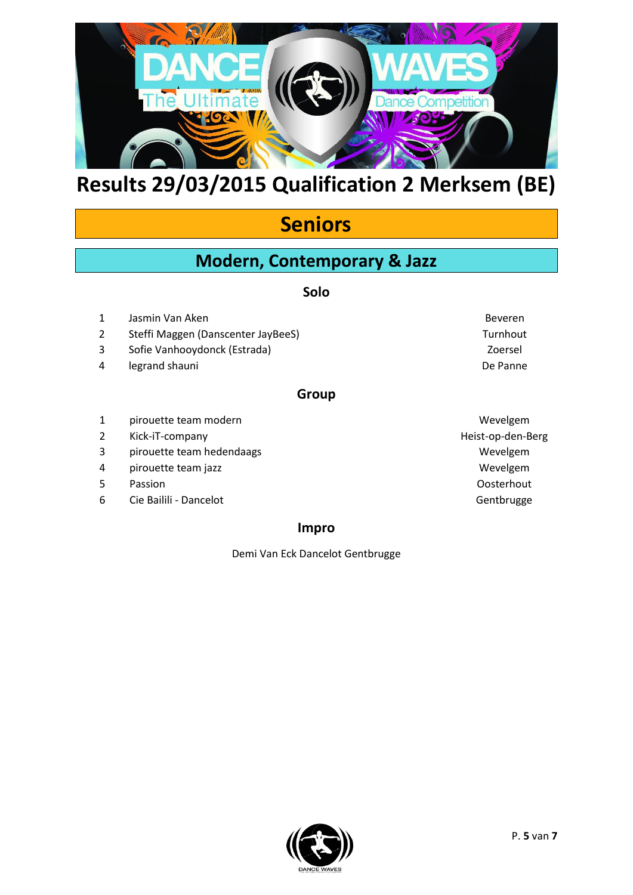

## **Seniors**

### **Modern, Contemporary & Jazz**

#### **Solo**

- 1 Jasmin Van Aken Beveren beweren besteht is a state beveren beveren beveren beveren beveren beveren besteht i
- 2 Steffi Maggen (Danscenter JayBeeS) Turnhout
- 3 Sofie Vanhooydonck (Estrada) Zoersel
- 4 legrand shauni De Panne

#### **Group**

- 1 pirouette team modern and the set of the set of the Wevelgem
- 2 Kick-iT-company Heist-op-den-Berg
- 3 pirouette team hedendaags Wevelgem
- 4 pirouette team jazz Wevelgem
- 
- 6 Cie Bailili Dancelot Gentbrugge

#### **Impro**

Demi Van Eck Dancelot Gentbrugge

5 Passion Oosterhout

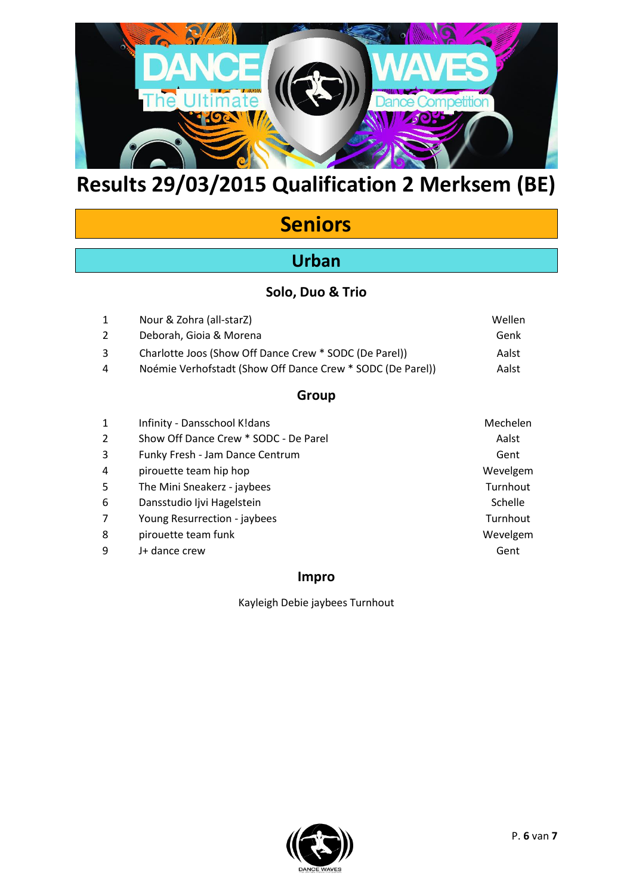

# **Seniors**

## **Urban**

### **Solo, Duo & Trio**

| 1 | Nour & Zohra (all-starZ)                                   | Wellen |
|---|------------------------------------------------------------|--------|
| 2 | Deborah, Gioia & Morena                                    | Genk   |
| 3 | Charlotte Joos (Show Off Dance Crew * SODC (De Parel))     | Aalst  |
| 4 | Noémie Verhofstadt (Show Off Dance Crew * SODC (De Parel)) | Aalst  |

### **Group**

| 1              | Infinity - Dansschool K!dans          | Mechelen |
|----------------|---------------------------------------|----------|
| $\overline{2}$ | Show Off Dance Crew * SODC - De Parel | Aalst    |
| 3              | Funky Fresh - Jam Dance Centrum       | Gent     |
| 4              | pirouette team hip hop                | Wevelgem |
| 5              | The Mini Sneakerz - jaybees           | Turnhout |
| 6              | Dansstudio Ijvi Hagelstein            | Schelle  |
| 7              | Young Resurrection - jaybees          | Turnhout |
| 8              | pirouette team funk                   | Wevelgem |
| 9              | J+ dance crew                         | Gent     |
|                |                                       |          |

### **Impro**

Kayleigh Debie jaybees Turnhout